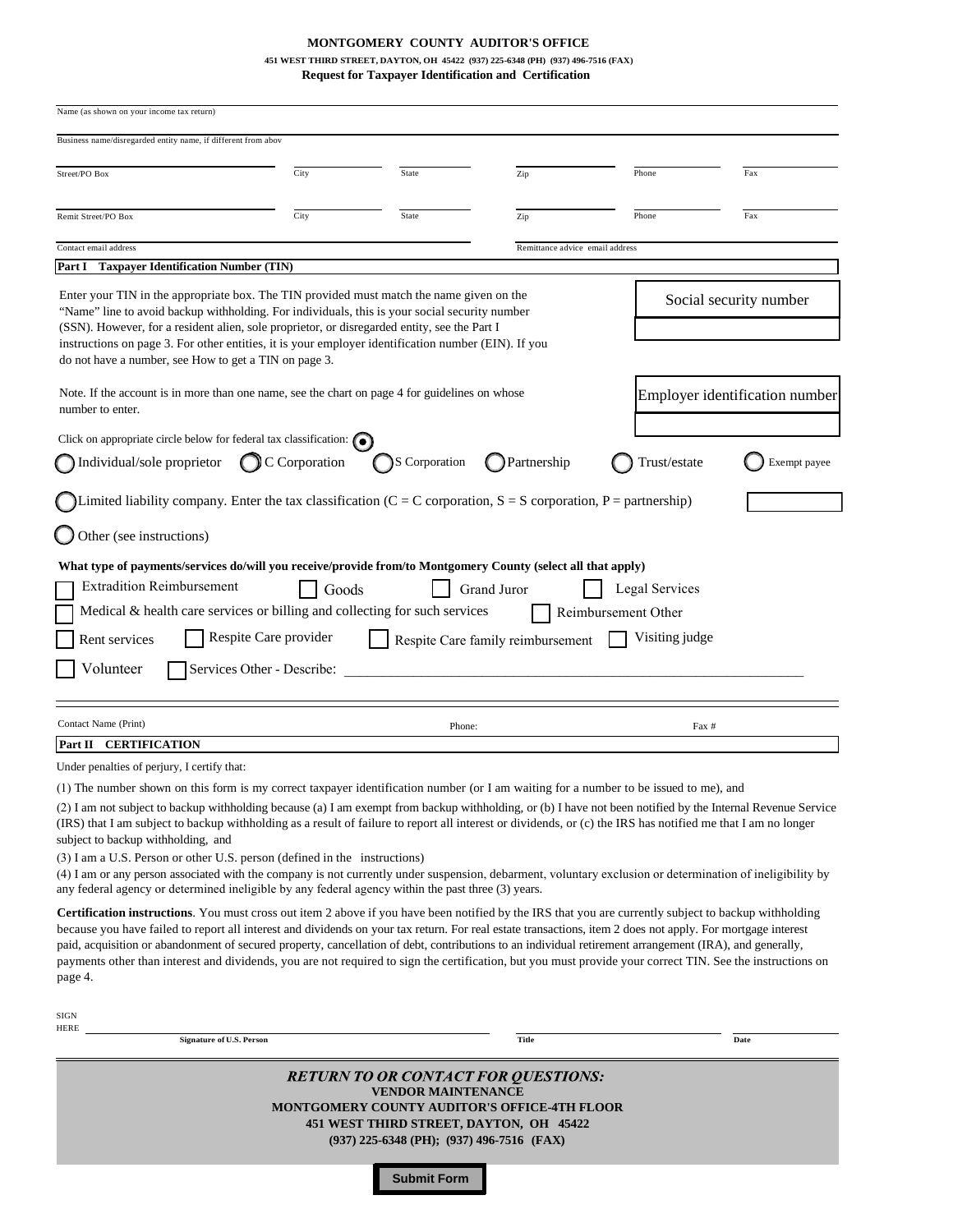## **MONTGOMERY COUNTY AUDITOR'S OFFICE**

# **451 WEST THIRD STREET, DAYTON, OH 45422 (937) 225-6348 (PH) (937) 496-7516 (FAX)**

**Request for Taxpayer Identification and Certification**

| Name (as shown on your income tax return)                                                                                                                                                                                                                                                                                                                                                                                                                                                                                                                                                                                                                                                                                                                                                                                                                  |                          |                                                                                                                                                                                                                                              |                                   |                                       |                        |  |
|------------------------------------------------------------------------------------------------------------------------------------------------------------------------------------------------------------------------------------------------------------------------------------------------------------------------------------------------------------------------------------------------------------------------------------------------------------------------------------------------------------------------------------------------------------------------------------------------------------------------------------------------------------------------------------------------------------------------------------------------------------------------------------------------------------------------------------------------------------|--------------------------|----------------------------------------------------------------------------------------------------------------------------------------------------------------------------------------------------------------------------------------------|-----------------------------------|---------------------------------------|------------------------|--|
| Business name/disregarded entity name, if different from abov                                                                                                                                                                                                                                                                                                                                                                                                                                                                                                                                                                                                                                                                                                                                                                                              |                          |                                                                                                                                                                                                                                              |                                   |                                       |                        |  |
| Street/PO Box                                                                                                                                                                                                                                                                                                                                                                                                                                                                                                                                                                                                                                                                                                                                                                                                                                              | City                     | State                                                                                                                                                                                                                                        | Zip                               | Phone                                 | Fax                    |  |
| Remit Street/PO Box                                                                                                                                                                                                                                                                                                                                                                                                                                                                                                                                                                                                                                                                                                                                                                                                                                        | City                     | State                                                                                                                                                                                                                                        | Zip                               | Phone                                 | Fax                    |  |
| Contact email address                                                                                                                                                                                                                                                                                                                                                                                                                                                                                                                                                                                                                                                                                                                                                                                                                                      |                          |                                                                                                                                                                                                                                              | Remittance advice email address   |                                       |                        |  |
| Part I<br><b>Taxpayer Identification Number (TIN)</b>                                                                                                                                                                                                                                                                                                                                                                                                                                                                                                                                                                                                                                                                                                                                                                                                      |                          |                                                                                                                                                                                                                                              |                                   |                                       |                        |  |
| Enter your TIN in the appropriate box. The TIN provided must match the name given on the<br>"Name" line to avoid backup withholding. For individuals, this is your social security number<br>(SSN). However, for a resident alien, sole proprietor, or disregarded entity, see the Part I<br>instructions on page 3. For other entities, it is your employer identification number (EIN). If you<br>do not have a number, see How to get a TIN on page 3.                                                                                                                                                                                                                                                                                                                                                                                                  |                          |                                                                                                                                                                                                                                              |                                   |                                       | Social security number |  |
| Note. If the account is in more than one name, see the chart on page 4 for guidelines on whose<br>number to enter.                                                                                                                                                                                                                                                                                                                                                                                                                                                                                                                                                                                                                                                                                                                                         |                          | Employer identification number                                                                                                                                                                                                               |                                   |                                       |                        |  |
| Click on appropriate circle below for federal tax classification: $\bigcirc$                                                                                                                                                                                                                                                                                                                                                                                                                                                                                                                                                                                                                                                                                                                                                                               |                          |                                                                                                                                                                                                                                              |                                   |                                       |                        |  |
| Individual/sole proprietor                                                                                                                                                                                                                                                                                                                                                                                                                                                                                                                                                                                                                                                                                                                                                                                                                                 | $\bigcirc$ C Corporation | S Corporation                                                                                                                                                                                                                                | Partnership                       | Trust/estate                          | Exempt payee           |  |
| Limited liability company. Enter the tax classification ( $C = C$ corporation, $S = S$ corporation, $P =$ partnership)                                                                                                                                                                                                                                                                                                                                                                                                                                                                                                                                                                                                                                                                                                                                     |                          |                                                                                                                                                                                                                                              |                                   |                                       |                        |  |
| Other (see instructions)                                                                                                                                                                                                                                                                                                                                                                                                                                                                                                                                                                                                                                                                                                                                                                                                                                   |                          |                                                                                                                                                                                                                                              |                                   |                                       |                        |  |
| Medical & health care services or billing and collecting for such services<br>Rent services<br>Volunteer<br>Services Other - Describe:                                                                                                                                                                                                                                                                                                                                                                                                                                                                                                                                                                                                                                                                                                                     | Respite Care provider    |                                                                                                                                                                                                                                              | Respite Care family reimbursement | Reimbursement Other<br>Visiting judge |                        |  |
| Contact Name (Print)                                                                                                                                                                                                                                                                                                                                                                                                                                                                                                                                                                                                                                                                                                                                                                                                                                       |                          | Phone:                                                                                                                                                                                                                                       |                                   | Fax #                                 |                        |  |
| Part II CERTIFICATION                                                                                                                                                                                                                                                                                                                                                                                                                                                                                                                                                                                                                                                                                                                                                                                                                                      |                          |                                                                                                                                                                                                                                              |                                   |                                       |                        |  |
| Under penalties of perjury, I certify that:                                                                                                                                                                                                                                                                                                                                                                                                                                                                                                                                                                                                                                                                                                                                                                                                                |                          |                                                                                                                                                                                                                                              |                                   |                                       |                        |  |
| (1) The number shown on this form is my correct taxpayer identification number (or I am waiting for a number to be issued to me), and<br>(2) I am not subject to backup withholding because (a) I am exempt from backup withholding, or (b) I have not been notified by the Internal Revenue Service<br>(IRS) that I am subject to backup withholding as a result of failure to report all interest or dividends, or (c) the IRS has notified me that I am no longer<br>subject to backup withholding, and<br>(3) I am a U.S. Person or other U.S. person (defined in the instructions)<br>(4) I am or any person associated with the company is not currently under suspension, debarment, voluntary exclusion or determination of ineligibility by<br>any federal agency or determined ineligible by any federal agency within the past three (3) years. |                          |                                                                                                                                                                                                                                              |                                   |                                       |                        |  |
| <b>Certification instructions</b> . You must cross out item 2 above if you have been notified by the IRS that you are currently subject to backup withholding<br>because you have failed to report all interest and dividends on your tax return. For real estate transactions, item 2 does not apply. For mortgage interest<br>paid, acquisition or abandonment of secured property, cancellation of debt, contributions to an individual retirement arrangement (IRA), and generally,<br>payments other than interest and dividends, you are not required to sign the certification, but you must provide your correct TIN. See the instructions on<br>page 4.                                                                                                                                                                                           |                          |                                                                                                                                                                                                                                              |                                   |                                       |                        |  |
| SIGN<br>HERE                                                                                                                                                                                                                                                                                                                                                                                                                                                                                                                                                                                                                                                                                                                                                                                                                                               |                          |                                                                                                                                                                                                                                              |                                   |                                       |                        |  |
| <b>Signature of U.S. Person</b>                                                                                                                                                                                                                                                                                                                                                                                                                                                                                                                                                                                                                                                                                                                                                                                                                            |                          |                                                                                                                                                                                                                                              | <b>Title</b>                      |                                       | Date                   |  |
|                                                                                                                                                                                                                                                                                                                                                                                                                                                                                                                                                                                                                                                                                                                                                                                                                                                            |                          | <b>RETURN TO OR CONTACT FOR QUESTIONS:</b><br><b>VENDOR MAINTENANCE</b><br><b>MONTGOMERY COUNTY AUDITOR'S OFFICE-4TH FLOOR</b><br>451 WEST THIRD STREET, DAYTON, OH 45422<br>(937) 225-6348 (PH); (937) 496-7516 (FAX)<br><b>Submit Form</b> |                                   |                                       |                        |  |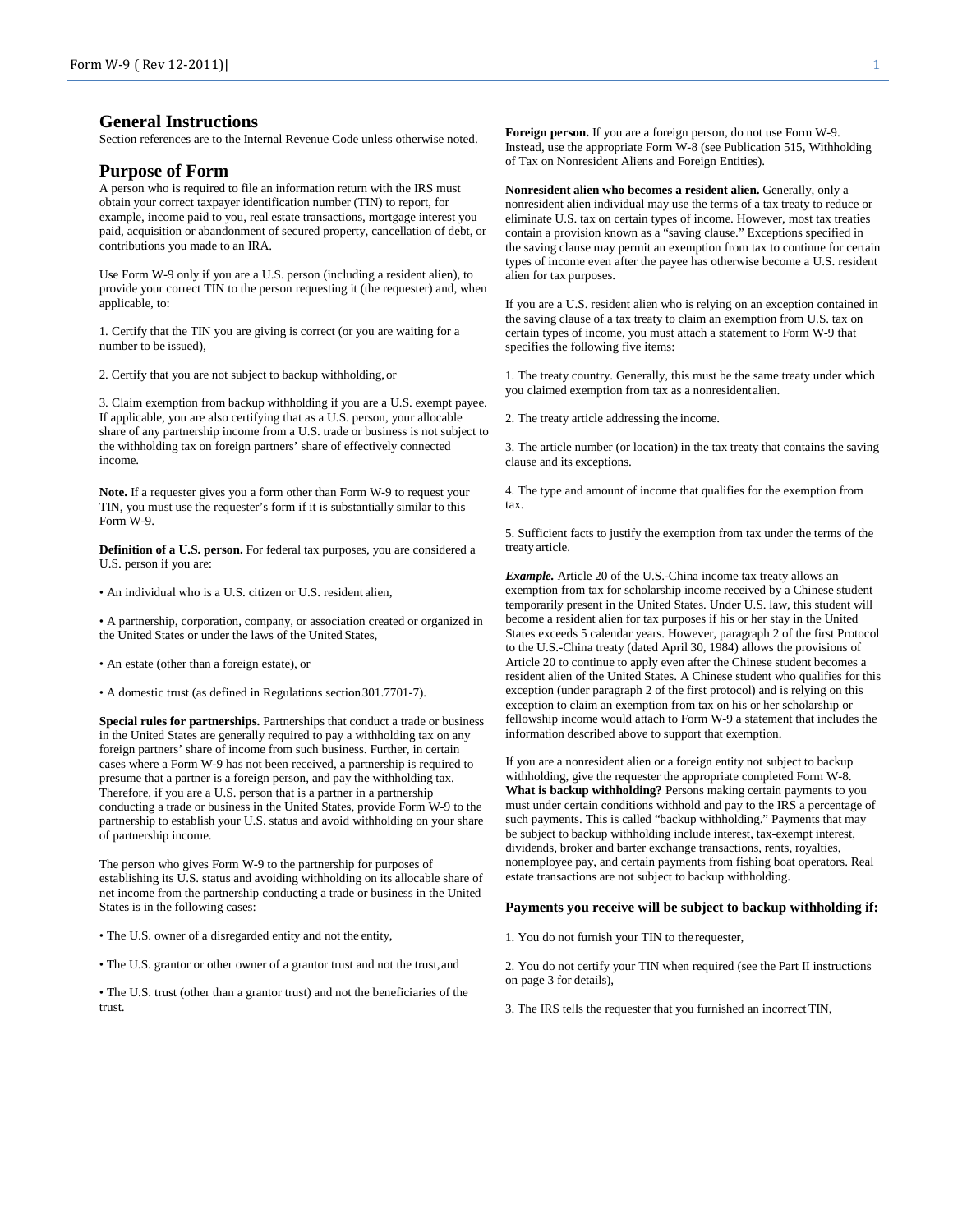## **General Instructions**

Section references are to the Internal Revenue Code unless otherwise noted.

#### **Purpose of Form**

A person who is required to file an information return with the IRS must obtain your correct taxpayer identification number (TIN) to report, for example, income paid to you, real estate transactions, mortgage interest you paid, acquisition or abandonment of secured property, cancellation of debt, or contributions you made to an IRA.

Use Form W-9 only if you are a U.S. person (including a resident alien), to provide your correct TIN to the person requesting it (the requester) and, when applicable, to:

1. Certify that the TIN you are giving is correct (or you are waiting for a number to be issued),

2. Certify that you are not subject to backup withholding, or

3. Claim exemption from backup withholding if you are a U.S. exempt payee. If applicable, you are also certifying that as a U.S. person, your allocable share of any partnership income from a U.S. trade or business is not subject to the withholding tax on foreign partners' share of effectively connected income.

**Note.** If a requester gives you a form other than Form W-9 to request your TIN, you must use the requester's form if it is substantially similar to this Form W-9.

**Definition of a U.S. person.** For federal tax purposes, you are considered a U.S. person if you are:

• An individual who is a U.S. citizen or U.S. resident alien,

• A partnership, corporation, company, or association created or organized in the United States or under the laws of the United States,

• An estate (other than a foreign estate), or

• A domestic trust (as defined in Regulations section301.7701-7).

**Special rules for partnerships.** Partnerships that conduct a trade or business in the United States are generally required to pay a withholding tax on any foreign partners' share of income from such business. Further, in certain cases where a Form W-9 has not been received, a partnership is required to presume that a partner is a foreign person, and pay the withholding tax. Therefore, if you are a U.S. person that is a partner in a partnership conducting a trade or business in the United States, provide Form W-9 to the partnership to establish your U.S. status and avoid withholding on your share of partnership income.

The person who gives Form W-9 to the partnership for purposes of establishing its U.S. status and avoiding withholding on its allocable share of net income from the partnership conducting a trade or business in the United States is in the following cases:

• The U.S. owner of a disregarded entity and not the entity,

• The U.S. grantor or other owner of a grantor trust and not the trust,and

• The U.S. trust (other than a grantor trust) and not the beneficiaries of the trust.

**Foreign person.** If you are a foreign person, do not use Form W-9. Instead, use the appropriate Form W-8 (see Publication 515, Withholding of Tax on Nonresident Aliens and Foreign Entities).

**Nonresident alien who becomes a resident alien.** Generally, only a nonresident alien individual may use the terms of a tax treaty to reduce or eliminate U.S. tax on certain types of income. However, most tax treaties contain a provision known as a "saving clause." Exceptions specified in the saving clause may permit an exemption from tax to continue for certain types of income even after the payee has otherwise become a U.S. resident alien for tax purposes.

If you are a U.S. resident alien who is relying on an exception contained in the saving clause of a tax treaty to claim an exemption from U.S. tax on certain types of income, you must attach a statement to Form W-9 that specifies the following five items:

1. The treaty country. Generally, this must be the same treaty under which you claimed exemption from tax as a nonresident alien.

2. The treaty article addressing the income.

3. The article number (or location) in the tax treaty that contains the saving clause and its exceptions.

4. The type and amount of income that qualifies for the exemption from tax.

5. Sufficient facts to justify the exemption from tax under the terms of the treaty article.

*Example.* Article 20 of the U.S.-China income tax treaty allows an exemption from tax for scholarship income received by a Chinese student temporarily present in the United States. Under U.S. law, this student will become a resident alien for tax purposes if his or her stay in the United States exceeds 5 calendar years. However, paragraph 2 of the first Protocol to the U.S.-China treaty (dated April 30, 1984) allows the provisions of Article 20 to continue to apply even after the Chinese student becomes a resident alien of the United States. A Chinese student who qualifies for this exception (under paragraph 2 of the first protocol) and is relying on this exception to claim an exemption from tax on his or her scholarship or fellowship income would attach to Form W-9 a statement that includes the information described above to support that exemption.

If you are a nonresident alien or a foreign entity not subject to backup withholding, give the requester the appropriate completed Form W-8. **What is backup withholding?** Persons making certain payments to you must under certain conditions withhold and pay to the IRS a percentage of such payments. This is called "backup withholding." Payments that may be subject to backup withholding include interest, tax-exempt interest, dividends, broker and barter exchange transactions, rents, royalties, nonemployee pay, and certain payments from fishing boat operators. Real estate transactions are not subject to backup withholding.

#### **Payments you receive will be subject to backup withholding if:**

1. You do not furnish your TIN to the requester,

2. You do not certify your TIN when required (see the Part II instructions on page 3 for details),

3. The IRS tells the requester that you furnished an incorrect TIN,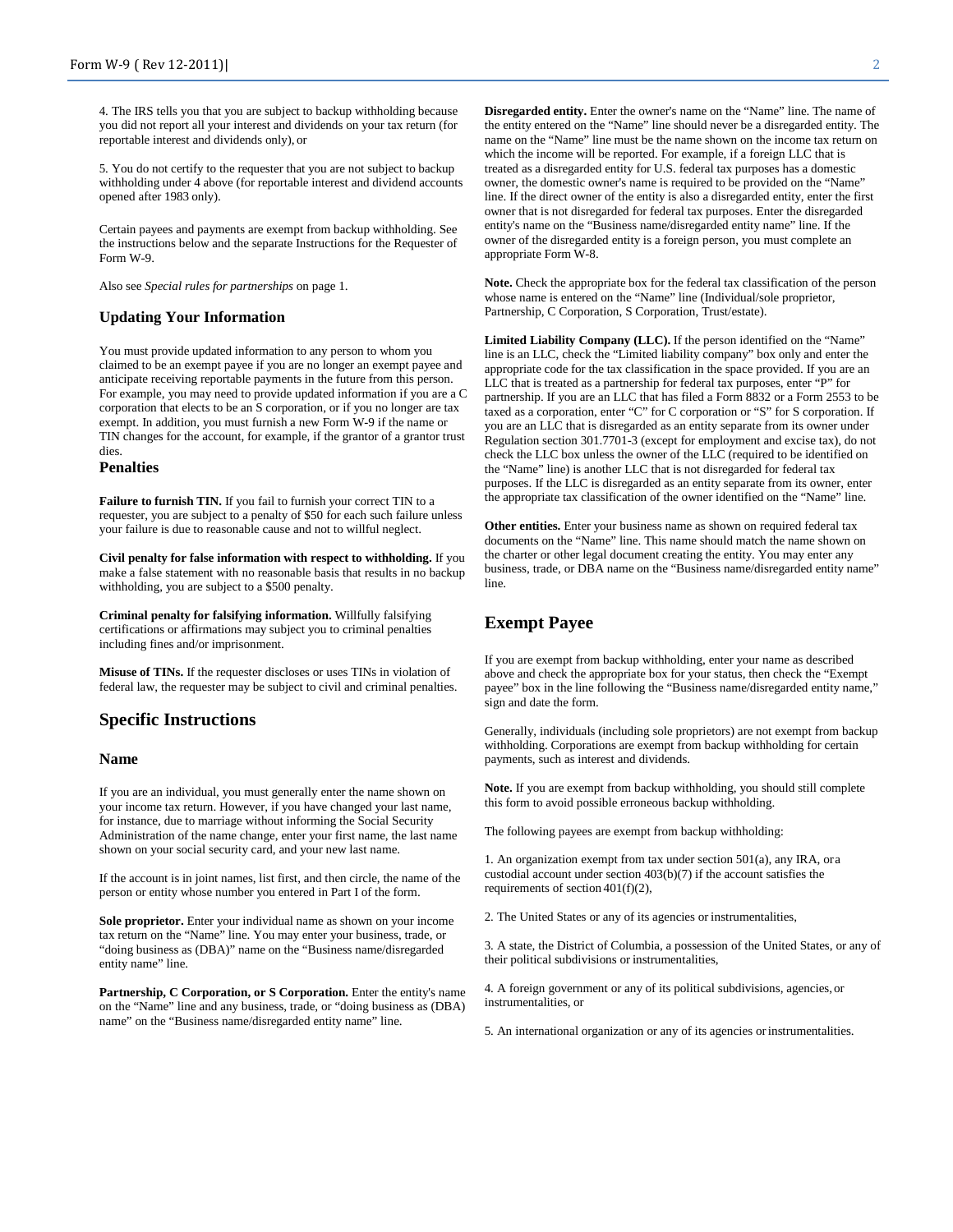4. The IRS tells you that you are subject to backup withholding because you did not report all your interest and dividends on your tax return (for reportable interest and dividends only), or

5. You do not certify to the requester that you are not subject to backup withholding under 4 above (for reportable interest and dividend accounts opened after 1983 only).

Certain payees and payments are exempt from backup withholding. See the instructions below and the separate Instructions for the Requester of Form W-9.

Also see *Special rules for partnerships* on page 1.

#### **Updating Your Information**

You must provide updated information to any person to whom you claimed to be an exempt payee if you are no longer an exempt payee and anticipate receiving reportable payments in the future from this person. For example, you may need to provide updated information if you are a C corporation that elects to be an S corporation, or if you no longer are tax exempt. In addition, you must furnish a new Form W-9 if the name or TIN changes for the account, for example, if the grantor of a grantor trust dies.

#### **Penalties**

**Failure to furnish TIN.** If you fail to furnish your correct TIN to a requester, you are subject to a penalty of \$50 for each such failure unless your failure is due to reasonable cause and not to willful neglect.

**Civil penalty for false information with respect to withholding.** If you make a false statement with no reasonable basis that results in no backup withholding, you are subject to a \$500 penalty.

**Criminal penalty for falsifying information.** Willfully falsifying certifications or affirmations may subject you to criminal penalties including fines and/or imprisonment.

**Misuse of TINs.** If the requester discloses or uses TINs in violation of federal law, the requester may be subject to civil and criminal penalties.

#### **Specific Instructions**

#### **Name**

If you are an individual, you must generally enter the name shown on your income tax return. However, if you have changed your last name, for instance, due to marriage without informing the Social Security Administration of the name change, enter your first name, the last name shown on your social security card, and your new last name.

If the account is in joint names, list first, and then circle, the name of the person or entity whose number you entered in Part I of the form.

**Sole proprietor.** Enter your individual name as shown on your income tax return on the "Name" line. You may enter your business, trade, or "doing business as (DBA)" name on the "Business name/disregarded entity name" line.

Partnership, C Corporation, or S Corporation. Enter the entity's name on the "Name" line and any business, trade, or "doing business as (DBA) name" on the "Business name/disregarded entity name" line.

**Disregarded entity.** Enter the owner's name on the "Name" line. The name of the entity entered on the "Name" line should never be a disregarded entity. The name on the "Name" line must be the name shown on the income tax return on which the income will be reported. For example, if a foreign LLC that is treated as a disregarded entity for U.S. federal tax purposes has a domestic owner, the domestic owner's name is required to be provided on the "Name" line. If the direct owner of the entity is also a disregarded entity, enter the first owner that is not disregarded for federal tax purposes. Enter the disregarded entity's name on the "Business name/disregarded entity name" line. If the owner of the disregarded entity is a foreign person, you must complete an appropriate Form W-8.

**Note.** Check the appropriate box for the federal tax classification of the person whose name is entered on the "Name" line (Individual/sole proprietor, Partnership, C Corporation, S Corporation, Trust/estate).

**Limited Liability Company (LLC).** If the person identified on the "Name" line is an LLC, check the "Limited liability company" box only and enter the appropriate code for the tax classification in the space provided. If you are an LLC that is treated as a partnership for federal tax purposes, enter "P" for partnership. If you are an LLC that has filed a Form 8832 or a Form 2553 to be taxed as a corporation, enter "C" for C corporation or "S" for S corporation. If you are an LLC that is disregarded as an entity separate from its owner under Regulation section 301.7701-3 (except for employment and excise tax), do not check the LLC box unless the owner of the LLC (required to be identified on the "Name" line) is another LLC that is not disregarded for federal tax purposes. If the LLC is disregarded as an entity separate from its owner, enter the appropriate tax classification of the owner identified on the "Name" line.

**Other entities.** Enter your business name as shown on required federal tax documents on the "Name" line. This name should match the name shown on the charter or other legal document creating the entity. You may enter any business, trade, or DBA name on the "Business name/disregarded entity name" line.

# **Exempt Payee**

If you are exempt from backup withholding, enter your name as described above and check the appropriate box for your status, then check the "Exempt payee" box in the line following the "Business name/disregarded entity name," sign and date the form.

Generally, individuals (including sole proprietors) are not exempt from backup withholding. Corporations are exempt from backup withholding for certain payments, such as interest and dividends.

**Note.** If you are exempt from backup withholding, you should still complete this form to avoid possible erroneous backup withholding.

The following payees are exempt from backup withholding:

1. An organization exempt from tax under section 501(a), any IRA, ora custodial account under section 403(b)(7) if the account satisfies the requirements of section 401(f)(2),

2. The United States or any of its agencies or instrumentalities,

3. A state, the District of Columbia, a possession of the United States, or any of their political subdivisions or instrumentalities,

4. A foreign government or any of its political subdivisions, agencies, or instrumentalities, or

5. An international organization or any of its agencies orinstrumentalities.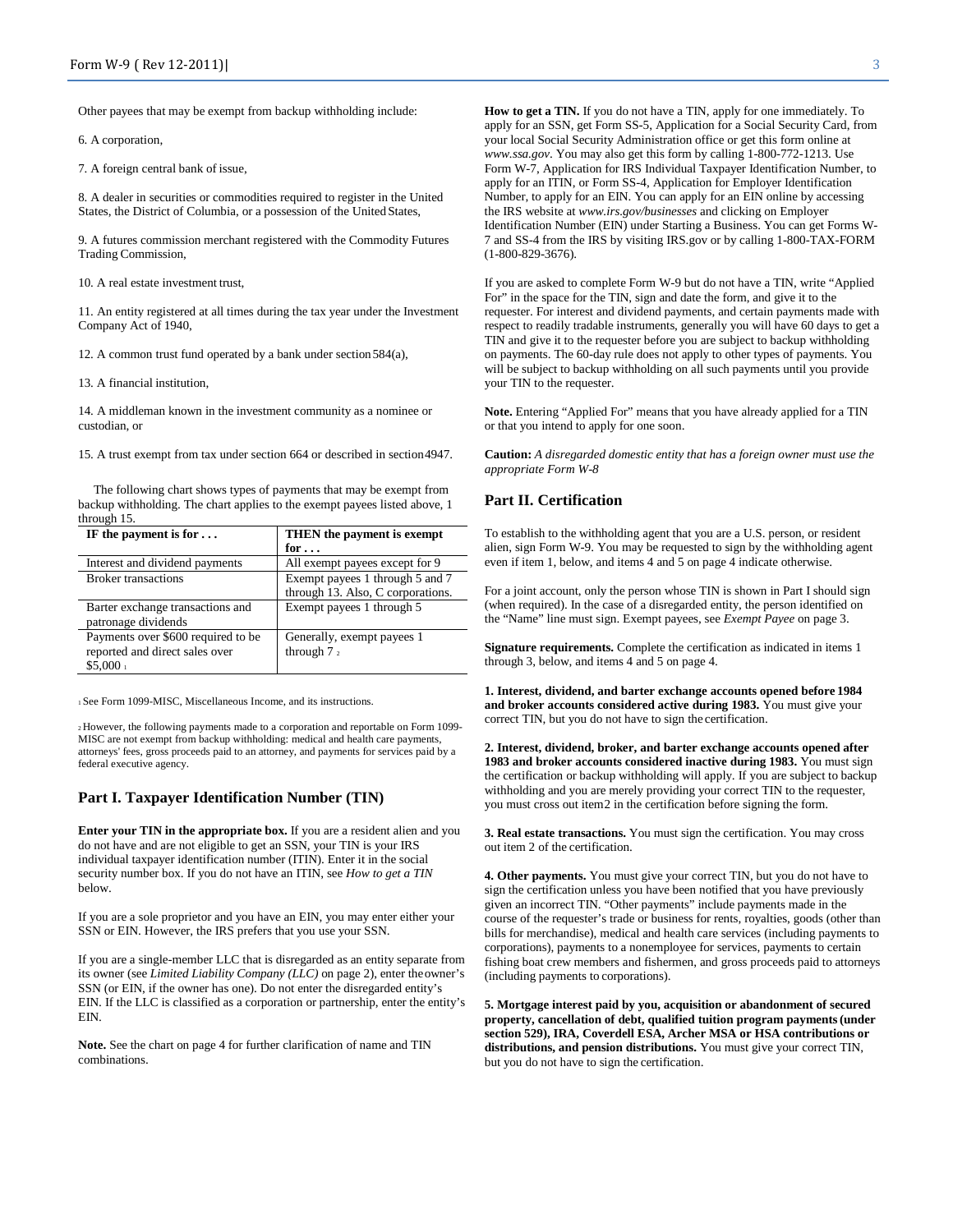Other payees that may be exempt from backup withholding include:

6. A corporation,

7. A foreign central bank of issue,

8. A dealer in securities or commodities required to register in the United States, the District of Columbia, or a possession of the United States,

9. A futures commission merchant registered with the Commodity Futures Trading Commission,

10. A real estate investment trust,

11. An entity registered at all times during the tax year under the Investment Company Act of 1940,

12. A common trust fund operated by a bank under section584(a),

13. A financial institution,

14. A middleman known in the investment community as a nominee or custodian, or

15. A trust exempt from tax under section 664 or described in section4947.

The following chart shows types of payments that may be exempt from backup withholding. The chart applies to the exempt payees listed above, 1 through 15.

| IF the payment is for $\dots$      | THEN the payment is exempt        |
|------------------------------------|-----------------------------------|
|                                    | for $\dots$                       |
| Interest and dividend payments     | All exempt payees except for 9    |
| <b>Broker transactions</b>         | Exempt payees 1 through 5 and 7   |
|                                    | through 13. Also, C corporations. |
| Barter exchange transactions and   | Exempt payees 1 through 5         |
| patronage dividends                |                                   |
| Payments over \$600 required to be | Generally, exempt payees 1        |
| reported and direct sales over     | through $72$                      |
| \$5,000 <sub>1</sub>               |                                   |

1 See Form 1099-MISC, Miscellaneous Income, and its instructions.

2 However, the following payments made to a corporation and reportable on Form 1099- MISC are not exempt from backup withholding: medical and health care payments, attorneys' fees, gross proceeds paid to an attorney, and payments for services paid by a federal executive agency.

#### **Part I. Taxpayer Identification Number (TIN)**

**Enter your TIN in the appropriate box.** If you are a resident alien and you do not have and are not eligible to get an SSN, your TIN is your IRS individual taxpayer identification number (ITIN). Enter it in the social security number box. If you do not have an ITIN, see *How to get a TIN*  below.

If you are a sole proprietor and you have an EIN, you may enter either your SSN or EIN. However, the IRS prefers that you use your SSN.

If you are a single-member LLC that is disregarded as an entity separate from its owner (see *Limited Liability Company (LLC)* on page 2), enter theowner's SSN (or EIN, if the owner has one). Do not enter the disregarded entity's EIN. If the LLC is classified as a corporation or partnership, enter the entity's EIN.

**Note.** See the chart on page 4 for further clarification of name and TIN combinations.

**How to get a TIN.** If you do not have a TIN, apply for one immediately. To apply for an SSN, get Form SS-5, Application for a Social Security Card, from your local Social Security Administration office or get this form online at *[www.ssa.gov](http://www.ssa.gov/)*. You may also get this form by calling 1-800-772-1213. Use Form W-7, Application for IRS Individual Taxpayer Identification Number, to apply for an ITIN, or Form SS-4, Application for Employer Identification Number, to apply for an EIN. You can apply for an EIN online by accessing the IRS website at *[www.irs.gov/businesses](http://www.irs.gov/businesses)* and clicking on Employer Identification Number (EIN) under Starting a Business. You can get Forms W-7 and SS-4 from the IRS by visiting IRS.gov or by calling 1-800-TAX-FORM (1-800-829-3676).

If you are asked to complete Form W-9 but do not have a TIN, write "Applied For" in the space for the TIN, sign and date the form, and give it to the requester. For interest and dividend payments, and certain payments made with respect to readily tradable instruments, generally you will have 60 days to get a TIN and give it to the requester before you are subject to backup withholding on payments. The 60-day rule does not apply to other types of payments. You will be subject to backup withholding on all such payments until you provide your TIN to the requester.

**Note.** Entering "Applied For" means that you have already applied for a TIN or that you intend to apply for one soon.

**Caution:** *A disregarded domestic entity that has a foreign owner must use the appropriate Form W-8* 

### **Part II. Certification**

To establish to the withholding agent that you are a U.S. person, or resident alien, sign Form W-9. You may be requested to sign by the withholding agent even if item 1, below, and items 4 and 5 on page 4 indicate otherwise.

For a joint account, only the person whose TIN is shown in Part I should sign (when required). In the case of a disregarded entity, the person identified on the "Name" line must sign. Exempt payees, see *Exempt Payee* on page 3.

**Signature requirements.** Complete the certification as indicated in items 1 through 3, below, and items 4 and 5 on page 4.

**1. Interest, dividend, and barter exchange accounts opened before 1984 and broker accounts considered active during 1983.** You must give your correct TIN, but you do not have to sign the certification.

**2. Interest, dividend, broker, and barter exchange accounts opened after 1983 and broker accounts considered inactive during 1983.** You must sign the certification or backup withholding will apply. If you are subject to backup withholding and you are merely providing your correct TIN to the requester, you must cross out item2 in the certification before signing the form.

**3. Real estate transactions.** You must sign the certification. You may cross out item 2 of the certification.

**4. Other payments.** You must give your correct TIN, but you do not have to sign the certification unless you have been notified that you have previously given an incorrect TIN. "Other payments" include payments made in the course of the requester's trade or business for rents, royalties, goods (other than bills for merchandise), medical and health care services (including payments to corporations), payments to a nonemployee for services, payments to certain fishing boat crew members and fishermen, and gross proceeds paid to attorneys (including payments to corporations).

**5. Mortgage interest paid by you, acquisition or abandonment of secured property, cancellation of debt, qualified tuition program payments(under section 529), IRA, Coverdell ESA, Archer MSA or HSA contributions or distributions, and pension distributions.** You must give your correct TIN, but you do not have to sign the certification.